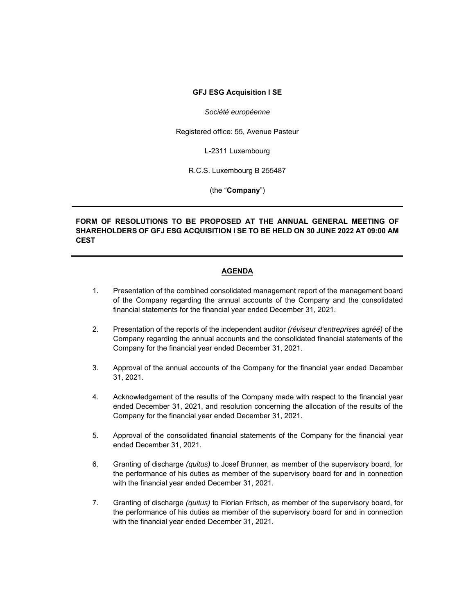#### **GFJ ESG Acquisition I SE**

#### *Société européenne*

Registered office: 55, Avenue Pasteur

L-2311 Luxembourg

R.C.S. Luxembourg B 255487

(the "**Company**")

### **FORM OF RESOLUTIONS TO BE PROPOSED AT THE ANNUAL GENERAL MEETING OF SHAREHOLDERS OF GFJ ESG ACQUISITION I SE TO BE HELD ON 30 JUNE 2022 AT 09:00 AM CEST**

#### **AGENDA**

- 1. Presentation of the combined consolidated management report of the management board of the Company regarding the annual accounts of the Company and the consolidated financial statements for the financial year ended December 31, 2021.
- 2. Presentation of the reports of the independent auditor *(réviseur d'entreprises agréé)* of the Company regarding the annual accounts and the consolidated financial statements of the Company for the financial year ended December 31, 2021.
- 3. Approval of the annual accounts of the Company for the financial year ended December 31, 2021.
- 4. Acknowledgement of the results of the Company made with respect to the financial year ended December 31, 2021, and resolution concerning the allocation of the results of the Company for the financial year ended December 31, 2021.
- 5. Approval of the consolidated financial statements of the Company for the financial year ended December 31, 2021.
- 6. Granting of discharge *(quitus)* to Josef Brunner, as member of the supervisory board, for the performance of his duties as member of the supervisory board for and in connection with the financial year ended December 31, 2021.
- 7. Granting of discharge *(quitus)* to Florian Fritsch, as member of the supervisory board, for the performance of his duties as member of the supervisory board for and in connection with the financial year ended December 31, 2021.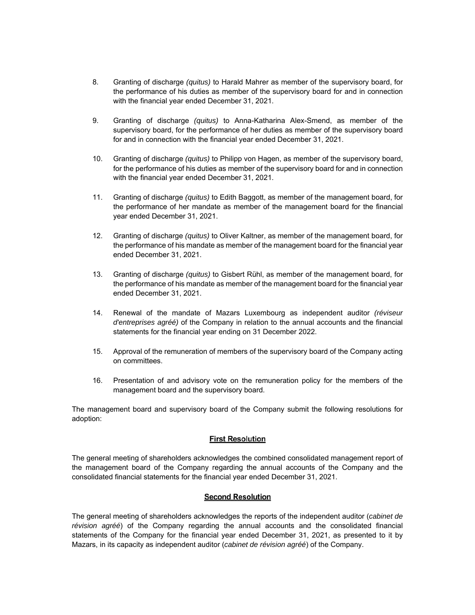- 8. Granting of discharge *(quitus)* to Harald Mahrer as member of the supervisory board, for the performance of his duties as member of the supervisory board for and in connection with the financial year ended December 31, 2021.
- 9. Granting of discharge *(quitus)* to Anna-Katharina Alex-Smend, as member of the supervisory board, for the performance of her duties as member of the supervisory board for and in connection with the financial year ended December 31, 2021.
- 10. Granting of discharge *(quitus)* to Philipp von Hagen, as member of the supervisory board, for the performance of his duties as member of the supervisory board for and in connection with the financial year ended December 31, 2021.
- 11. Granting of discharge *(quitus)* to Edith Baggott, as member of the management board, for the performance of her mandate as member of the management board for the financial year ended December 31, 2021.
- 12. Granting of discharge *(quitus)* to Oliver Kaltner, as member of the management board, for the performance of his mandate as member of the management board for the financial year ended December 31, 2021.
- 13. Granting of discharge *(quitus)* to Gisbert Rühl, as member of the management board, for the performance of his mandate as member of the management board for the financial year ended December 31, 2021.
- 14. Renewal of the mandate of Mazars Luxembourg as independent auditor *(réviseur d'entreprises agréé)* of the Company in relation to the annual accounts and the financial statements for the financial year ending on 31 December 2022.
- 15. Approval of the remuneration of members of the supervisory board of the Company acting on committees.
- 16. Presentation of and advisory vote on the remuneration policy for the members of the management board and the supervisory board.

The management board and supervisory board of the Company submit the following resolutions for adoption:

### **First Resolution**

The general meeting of shareholders acknowledges the combined consolidated management report of the management board of the Company regarding the annual accounts of the Company and the consolidated financial statements for the financial year ended December 31, 2021.

### **Second Resolution**

The general meeting of shareholders acknowledges the reports of the independent auditor (*cabinet de révision agréé*) of the Company regarding the annual accounts and the consolidated financial statements of the Company for the financial year ended December 31, 2021, as presented to it by Mazars, in its capacity as independent auditor (*cabinet de révision agréé*) of the Company.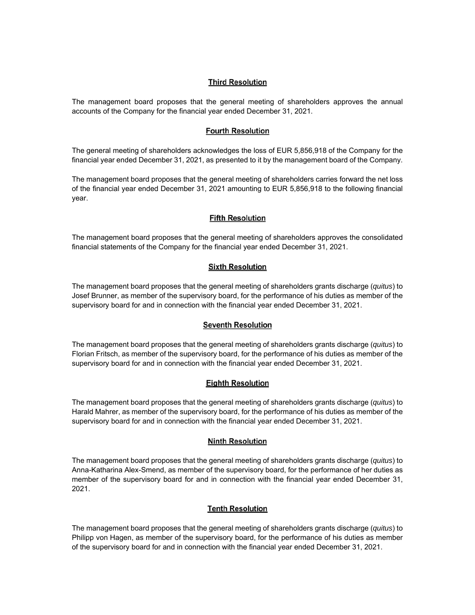### **Third Resolution**

The management board proposes that the general meeting of shareholders approves the annual accounts of the Company for the financial year ended December 31, 2021.

### **Fourth Resolution**

The general meeting of shareholders acknowledges the loss of EUR 5,856,918 of the Company for the financial year ended December 31, 2021, as presented to it by the management board of the Company.

The management board proposes that the general meeting of shareholders carries forward the net loss of the financial year ended December 31, 2021 amounting to EUR 5,856,918 to the following financial year.

## **Fifth Resolution**

The management board proposes that the general meeting of shareholders approves the consolidated financial statements of the Company for the financial year ended December 31, 2021.

## **Sixth Resolution**

The management board proposes that the general meeting of shareholders grants discharge (*quitus*) to Josef Brunner, as member of the supervisory board, for the performance of his duties as member of the supervisory board for and in connection with the financial year ended December 31, 2021.

# **Seventh Resolution**

The management board proposes that the general meeting of shareholders grants discharge (*quitus*) to Florian Fritsch, as member of the supervisory board, for the performance of his duties as member of the supervisory board for and in connection with the financial year ended December 31, 2021.

# **Eighth Resolution**

The management board proposes that the general meeting of shareholders grants discharge (*quitus*) to Harald Mahrer, as member of the supervisory board, for the performance of his duties as member of the supervisory board for and in connection with the financial year ended December 31, 2021.

### **Ninth Resolution**

The management board proposes that the general meeting of shareholders grants discharge (*quitus*) to Anna-Katharina Alex-Smend, as member of the supervisory board, for the performance of her duties as member of the supervisory board for and in connection with the financial year ended December 31, 2021.

# **Tenth Resolution**

The management board proposes that the general meeting of shareholders grants discharge (*quitus*) to Philipp von Hagen, as member of the supervisory board, for the performance of his duties as member of the supervisory board for and in connection with the financial year ended December 31, 2021.